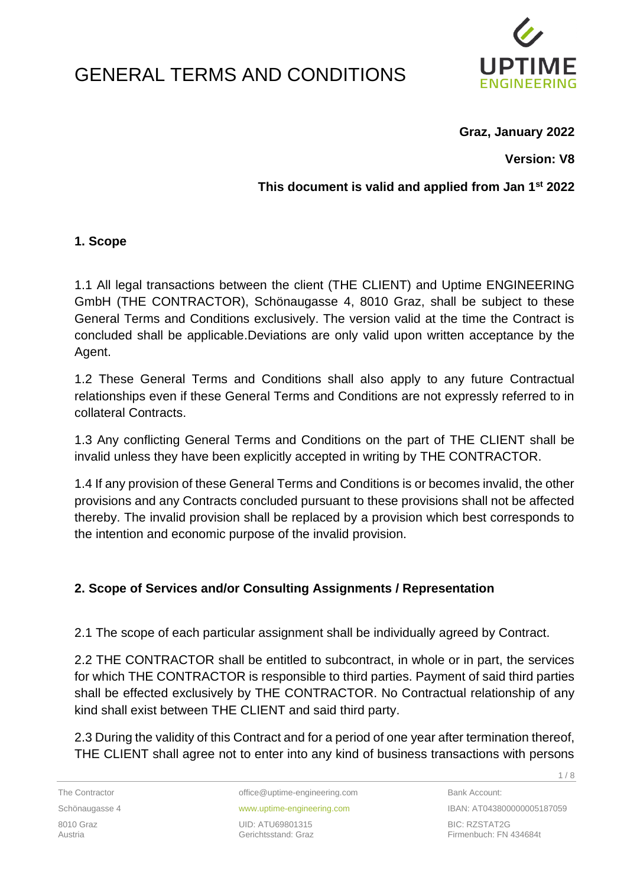# GENERAL TERMS AND CONDITIONS



**Graz, January 2022**

**Version: V8**

**This document is valid and applied from Jan 1st 2022**

#### **1. Scope**

1.1 All legal transactions between the client (THE CLIENT) and Uptime ENGINEERING GmbH (THE CONTRACTOR), Schönaugasse 4, 8010 Graz, shall be subject to these General Terms and Conditions exclusively. The version valid at the time the Contract is concluded shall be applicable.Deviations are only valid upon written acceptance by the Agent.

1.2 These General Terms and Conditions shall also apply to any future Contractual relationships even if these General Terms and Conditions are not expressly referred to in collateral Contracts.

1.3 Any conflicting General Terms and Conditions on the part of THE CLIENT shall be invalid unless they have been explicitly accepted in writing by THE CONTRACTOR.

1.4 If any provision of these General Terms and Conditions is or becomes invalid, the other provisions and any Contracts concluded pursuant to these provisions shall not be affected thereby. The invalid provision shall be replaced by a provision which best corresponds to the intention and economic purpose of the invalid provision.

#### **2. Scope of Services and/or Consulting Assignments / Representation**

2.1 The scope of each particular assignment shall be individually agreed by Contract.

2.2 THE CONTRACTOR shall be entitled to subcontract, in whole or in part, the services for which THE CONTRACTOR is responsible to third parties. Payment of said third parties shall be effected exclusively by THE CONTRACTOR. No Contractual relationship of any kind shall exist between THE CLIENT and said third party.

2.3 During the validity of this Contract and for a period of one year after termination thereof, THE CLIENT shall agree not to enter into any kind of business transactions with persons

The Contractor office@uptime-engineering.com Bank Account:

8010 Graz UID: ATU69801315 BIC: RZSTAT2G

Schönaugasse 4 **www.uptime-engineering.com** IBAN: AT043800000005187059 Firmenbuch: FN 434684t

1 / 8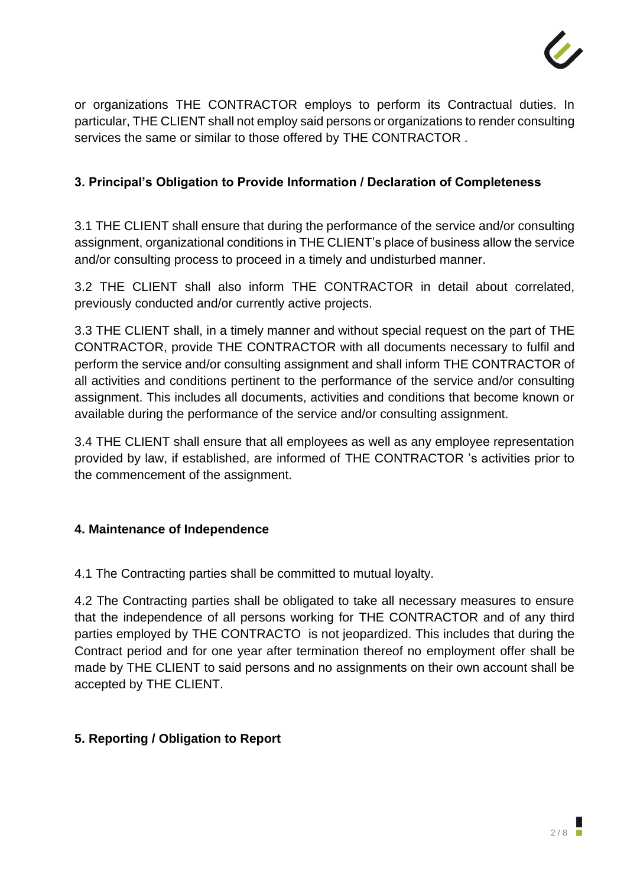

or organizations THE CONTRACTOR employs to perform its Contractual duties. In particular, THE CLIENT shall not employ said persons or organizations to render consulting services the same or similar to those offered by THE CONTRACTOR .

## **3. Principal's Obligation to Provide Information / Declaration of Completeness**

3.1 THE CLIENT shall ensure that during the performance of the service and/or consulting assignment, organizational conditions in THE CLIENT's place of business allow the service and/or consulting process to proceed in a timely and undisturbed manner.

3.2 THE CLIENT shall also inform THE CONTRACTOR in detail about correlated, previously conducted and/or currently active projects.

3.3 THE CLIENT shall, in a timely manner and without special request on the part of THE CONTRACTOR, provide THE CONTRACTOR with all documents necessary to fulfil and perform the service and/or consulting assignment and shall inform THE CONTRACTOR of all activities and conditions pertinent to the performance of the service and/or consulting assignment. This includes all documents, activities and conditions that become known or available during the performance of the service and/or consulting assignment.

3.4 THE CLIENT shall ensure that all employees as well as any employee representation provided by law, if established, are informed of THE CONTRACTOR 's activities prior to the commencement of the assignment.

#### **4. Maintenance of Independence**

4.1 The Contracting parties shall be committed to mutual loyalty.

4.2 The Contracting parties shall be obligated to take all necessary measures to ensure that the independence of all persons working for THE CONTRACTOR and of any third parties employed by THE CONTRACTO is not jeopardized. This includes that during the Contract period and for one year after termination thereof no employment offer shall be made by THE CLIENT to said persons and no assignments on their own account shall be accepted by THE CLIENT.

#### **5. Reporting / Obligation to Report**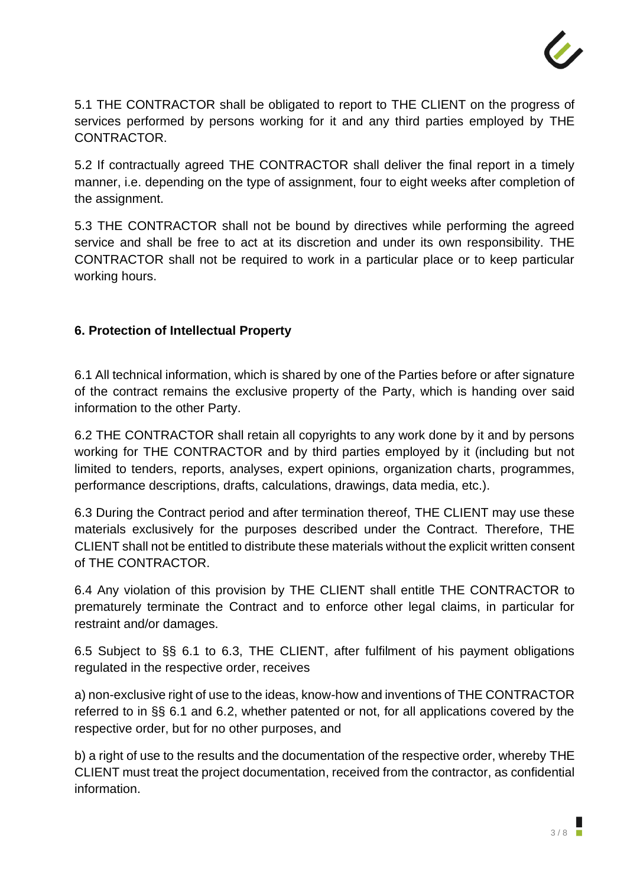

5.1 THE CONTRACTOR shall be obligated to report to THE CLIENT on the progress of services performed by persons working for it and any third parties employed by THE CONTRACTOR.

5.2 If contractually agreed THE CONTRACTOR shall deliver the final report in a timely manner, i.e. depending on the type of assignment, four to eight weeks after completion of the assignment.

5.3 THE CONTRACTOR shall not be bound by directives while performing the agreed service and shall be free to act at its discretion and under its own responsibility. THE CONTRACTOR shall not be required to work in a particular place or to keep particular working hours.

## **6. Protection of Intellectual Property**

6.1 All technical information, which is shared by one of the Parties before or after signature of the contract remains the exclusive property of the Party, which is handing over said information to the other Party.

6.2 THE CONTRACTOR shall retain all copyrights to any work done by it and by persons working for THE CONTRACTOR and by third parties employed by it (including but not limited to tenders, reports, analyses, expert opinions, organization charts, programmes, performance descriptions, drafts, calculations, drawings, data media, etc.).

6.3 During the Contract period and after termination thereof, THE CLIENT may use these materials exclusively for the purposes described under the Contract. Therefore, THE CLIENT shall not be entitled to distribute these materials without the explicit written consent of THE CONTRACTOR.

6.4 Any violation of this provision by THE CLIENT shall entitle THE CONTRACTOR to prematurely terminate the Contract and to enforce other legal claims, in particular for restraint and/or damages.

6.5 Subject to §§ 6.1 to 6.3, THE CLIENT, after fulfilment of his payment obligations regulated in the respective order, receives

a) non-exclusive right of use to the ideas, know-how and inventions of THE CONTRACTOR referred to in §§ 6.1 and 6.2, whether patented or not, for all applications covered by the respective order, but for no other purposes, and

b) a right of use to the results and the documentation of the respective order, whereby THE CLIENT must treat the project documentation, received from the contractor, as confidential information.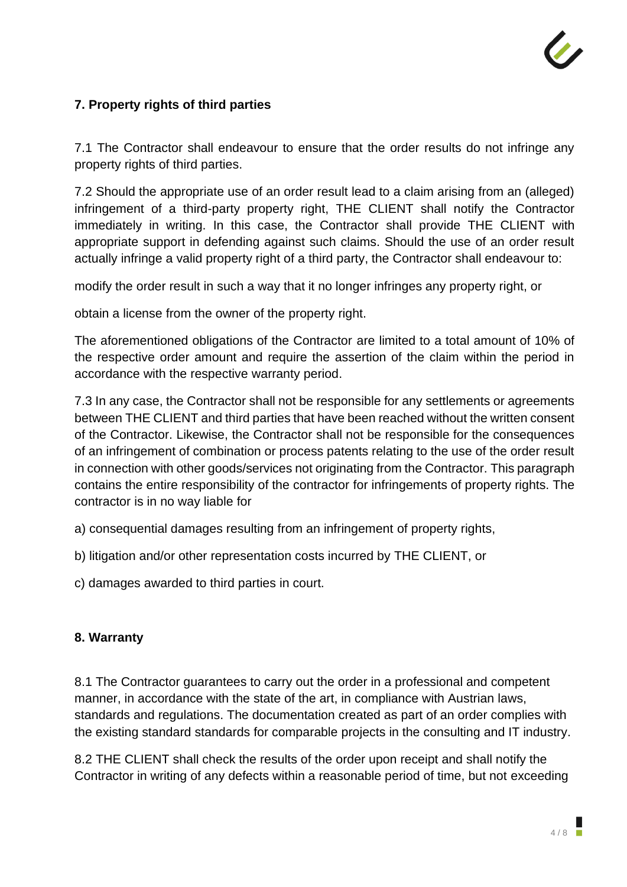

# **7. Property rights of third parties**

7.1 The Contractor shall endeavour to ensure that the order results do not infringe any property rights of third parties.

7.2 Should the appropriate use of an order result lead to a claim arising from an (alleged) infringement of a third-party property right, THE CLIENT shall notify the Contractor immediately in writing. In this case, the Contractor shall provide THE CLIENT with appropriate support in defending against such claims. Should the use of an order result actually infringe a valid property right of a third party, the Contractor shall endeavour to:

modify the order result in such a way that it no longer infringes any property right, or

obtain a license from the owner of the property right.

The aforementioned obligations of the Contractor are limited to a total amount of 10% of the respective order amount and require the assertion of the claim within the period in accordance with the respective warranty period.

7.3 In any case, the Contractor shall not be responsible for any settlements or agreements between THE CLIENT and third parties that have been reached without the written consent of the Contractor. Likewise, the Contractor shall not be responsible for the consequences of an infringement of combination or process patents relating to the use of the order result in connection with other goods/services not originating from the Contractor. This paragraph contains the entire responsibility of the contractor for infringements of property rights. The contractor is in no way liable for

a) consequential damages resulting from an infringement of property rights,

b) litigation and/or other representation costs incurred by THE CLIENT, or

c) damages awarded to third parties in court.

#### **8. Warranty**

8.1 The Contractor guarantees to carry out the order in a professional and competent manner, in accordance with the state of the art, in compliance with Austrian laws, standards and regulations. The documentation created as part of an order complies with the existing standard standards for comparable projects in the consulting and IT industry.

8.2 THE CLIENT shall check the results of the order upon receipt and shall notify the Contractor in writing of any defects within a reasonable period of time, but not exceeding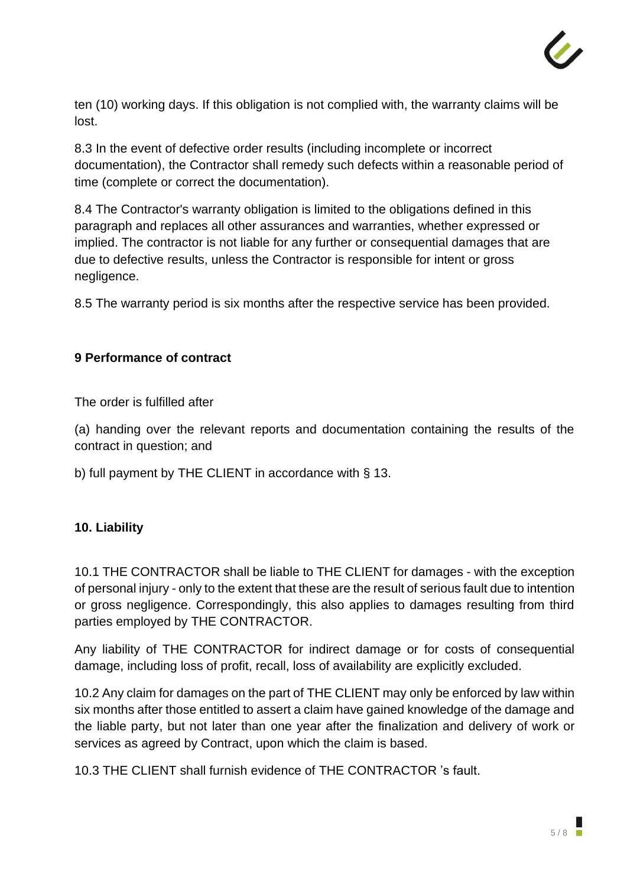

ten (10) working days. If this obligation is not complied with, the warranty claims will be lost.

8.3 In the event of defective order results (including incomplete or incorrect documentation), the Contractor shall remedy such defects within a reasonable period of time (complete or correct the documentation).

8.4 The Contractor's warranty obligation is limited to the obligations defined in this paragraph and replaces all other assurances and warranties, whether expressed or implied. The contractor is not liable for any further or consequential damages that are due to defective results, unless the Contractor is responsible for intent or gross negligence.

8.5 The warranty period is six months after the respective service has been provided.

# **9 Performance of contract**

The order is fulfilled after

(a) handing over the relevant reports and documentation containing the results of the contract in question; and

b) full payment by THE CLIENT in accordance with § 13.

#### **10. Liability**

10.1 THE CONTRACTOR shall be liable to THE CLIENT for damages - with the exception of personal injury - only to the extent that these are the result of serious fault due to intention or gross negligence. Correspondingly, this also applies to damages resulting from third parties employed by THE CONTRACTOR.

Any liability of THE CONTRACTOR for indirect damage or for costs of consequential damage, including loss of profit, recall, loss of availability are explicitly excluded.

10.2 Any claim for damages on the part of THE CLIENT may only be enforced by law within six months after those entitled to assert a claim have gained knowledge of the damage and the liable party, but not later than one year after the finalization and delivery of work or services as agreed by Contract, upon which the claim is based.

10.3 THE CLIENT shall furnish evidence of THE CONTRACTOR 's fault.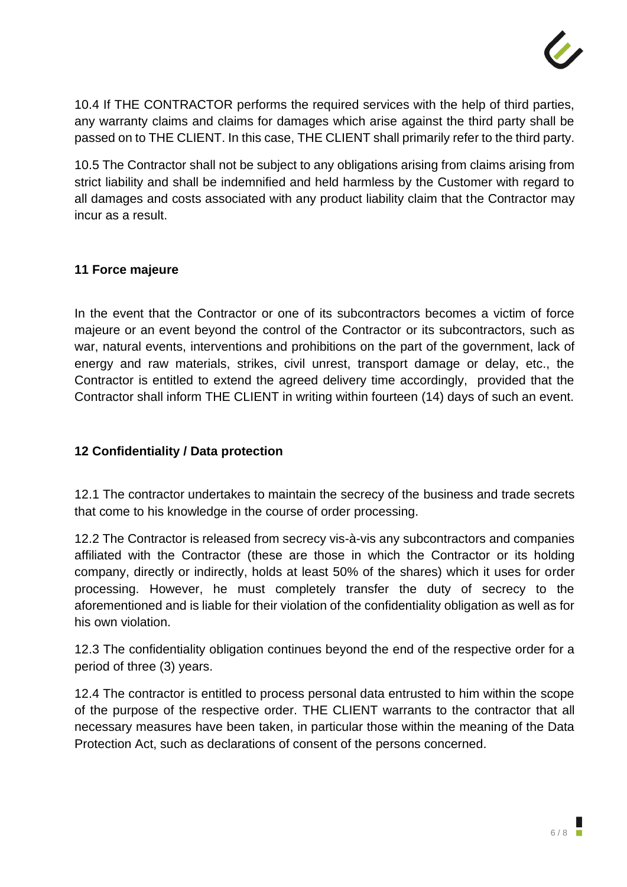

10.4 If THE CONTRACTOR performs the required services with the help of third parties, any warranty claims and claims for damages which arise against the third party shall be passed on to THE CLIENT. In this case, THE CLIENT shall primarily refer to the third party.

10.5 The Contractor shall not be subject to any obligations arising from claims arising from strict liability and shall be indemnified and held harmless by the Customer with regard to all damages and costs associated with any product liability claim that the Contractor may incur as a result.

#### **11 Force majeure**

In the event that the Contractor or one of its subcontractors becomes a victim of force majeure or an event beyond the control of the Contractor or its subcontractors, such as war, natural events, interventions and prohibitions on the part of the government, lack of energy and raw materials, strikes, civil unrest, transport damage or delay, etc., the Contractor is entitled to extend the agreed delivery time accordingly, provided that the Contractor shall inform THE CLIENT in writing within fourteen (14) days of such an event.

## **12 Confidentiality / Data protection**

12.1 The contractor undertakes to maintain the secrecy of the business and trade secrets that come to his knowledge in the course of order processing.

12.2 The Contractor is released from secrecy vis-à-vis any subcontractors and companies affiliated with the Contractor (these are those in which the Contractor or its holding company, directly or indirectly, holds at least 50% of the shares) which it uses for order processing. However, he must completely transfer the duty of secrecy to the aforementioned and is liable for their violation of the confidentiality obligation as well as for his own violation.

12.3 The confidentiality obligation continues beyond the end of the respective order for a period of three (3) years.

12.4 The contractor is entitled to process personal data entrusted to him within the scope of the purpose of the respective order. THE CLIENT warrants to the contractor that all necessary measures have been taken, in particular those within the meaning of the Data Protection Act, such as declarations of consent of the persons concerned.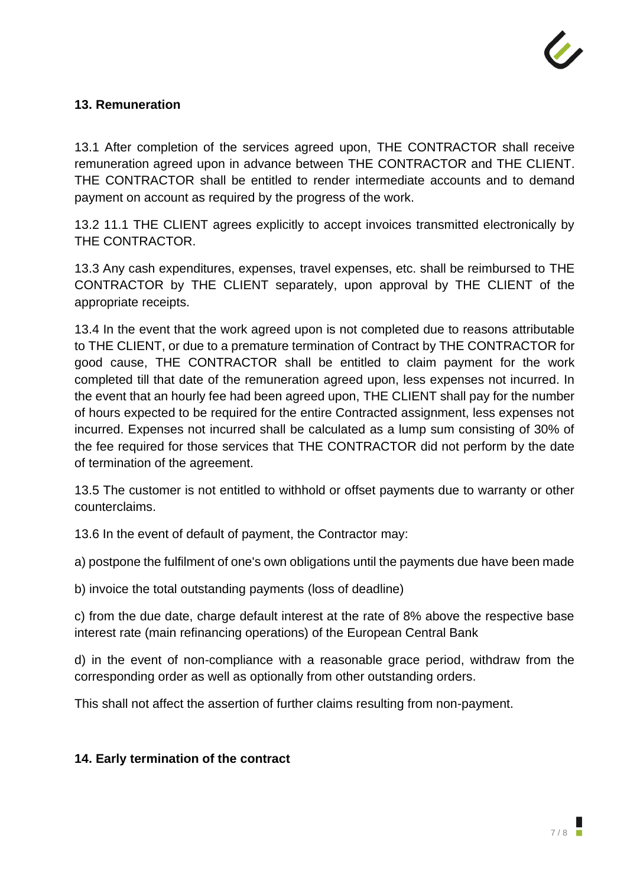

#### **13. Remuneration**

13.1 After completion of the services agreed upon, THE CONTRACTOR shall receive remuneration agreed upon in advance between THE CONTRACTOR and THE CLIENT. THE CONTRACTOR shall be entitled to render intermediate accounts and to demand payment on account as required by the progress of the work.

13.2 11.1 THE CLIENT agrees explicitly to accept invoices transmitted electronically by THE CONTRACTOR.

13.3 Any cash expenditures, expenses, travel expenses, etc. shall be reimbursed to THE CONTRACTOR by THE CLIENT separately, upon approval by THE CLIENT of the appropriate receipts.

13.4 In the event that the work agreed upon is not completed due to reasons attributable to THE CLIENT, or due to a premature termination of Contract by THE CONTRACTOR for good cause, THE CONTRACTOR shall be entitled to claim payment for the work completed till that date of the remuneration agreed upon, less expenses not incurred. In the event that an hourly fee had been agreed upon, THE CLIENT shall pay for the number of hours expected to be required for the entire Contracted assignment, less expenses not incurred. Expenses not incurred shall be calculated as a lump sum consisting of 30% of the fee required for those services that THE CONTRACTOR did not perform by the date of termination of the agreement.

13.5 The customer is not entitled to withhold or offset payments due to warranty or other counterclaims.

13.6 In the event of default of payment, the Contractor may:

a) postpone the fulfilment of one's own obligations until the payments due have been made

b) invoice the total outstanding payments (loss of deadline)

c) from the due date, charge default interest at the rate of 8% above the respective base interest rate (main refinancing operations) of the European Central Bank

d) in the event of non-compliance with a reasonable grace period, withdraw from the corresponding order as well as optionally from other outstanding orders.

This shall not affect the assertion of further claims resulting from non-payment.

#### **14. Early termination of the contract**